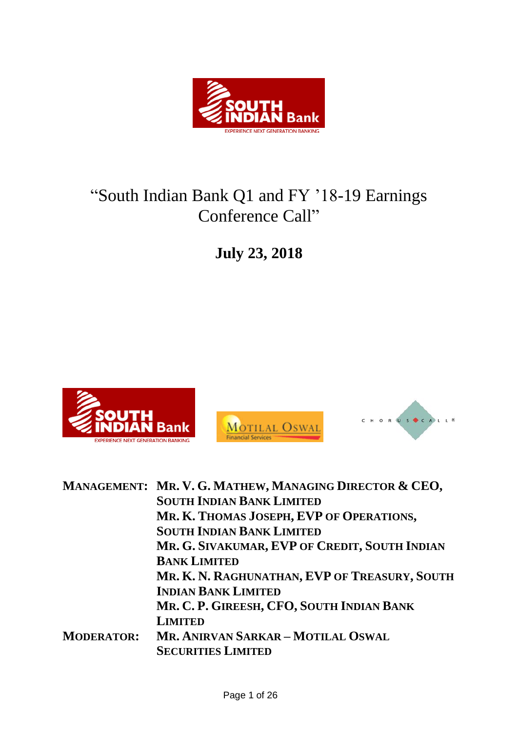

# "South Indian Bank Q1 and FY '18-19 Earnings Conference Call"

**July 23, 2018**







|                   | MANAGEMENT: MR. V. G. MATHEW, MANAGING DIRECTOR & CEO, |
|-------------------|--------------------------------------------------------|
|                   | <b>SOUTH INDIAN BANK LIMITED</b>                       |
|                   | MR. K. THOMAS JOSEPH, EVP OF OPERATIONS,               |
|                   | <b>SOUTH INDIAN BANK LIMITED</b>                       |
|                   | MR. G. SIVAKUMAR, EVP OF CREDIT, SOUTH INDIAN          |
|                   | <b>BANK LIMITED</b>                                    |
|                   | MR. K. N. RAGHUNATHAN, EVP OF TREASURY, SOUTH          |
|                   | <b>INDIAN BANK LIMITED</b>                             |
|                   | MR. C. P. GIREESH, CFO, SOUTH INDIAN BANK              |
|                   | <b>LIMITED</b>                                         |
| <b>MODERATOR:</b> | MR. ANIRVAN SARKAR - MOTILAL OSWAL                     |
|                   | <b>SECURITIES LIMITED</b>                              |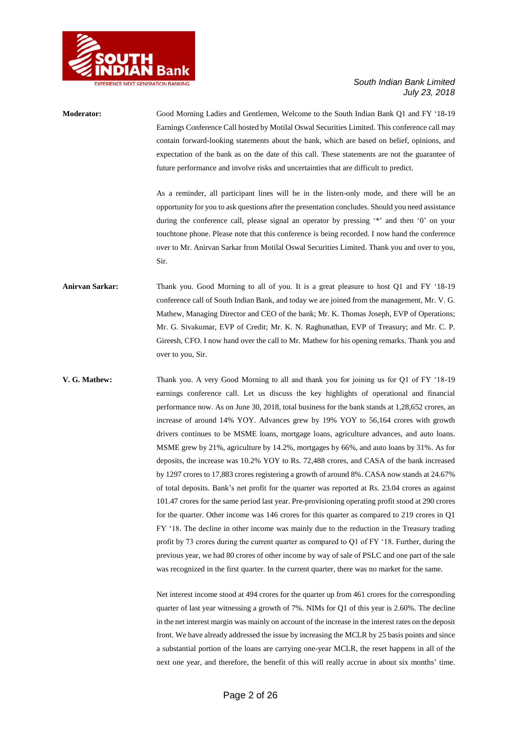

# **Moderator:** Good Morning Ladies and Gentlemen, Welcome to the South Indian Bank Q1 and FY '18-19 Earnings Conference Call hosted by Motilal Oswal Securities Limited. This conference call may contain forward-looking statements about the bank, which are based on belief, opinions, and expectation of the bank as on the date of this call. These statements are not the guarantee of future performance and involve risks and uncertainties that are difficult to predict. As a reminder, all participant lines will be in the listen-only mode, and there will be an opportunity for you to ask questions after the presentation concludes. Should you need assistance during the conference call, please signal an operator by pressing '\*' and then '0' on your touchtone phone. Please note that this conference is being recorded. I now hand the conference over to Mr. Anirvan Sarkar from Motilal Oswal Securities Limited. Thank you and over to you, Sir. **Anirvan Sarkar:** Thank you. Good Morning to all of you. It is a great pleasure to host Q1 and FY '18-19 conference call of South Indian Bank, and today we are joined from the management, Mr. V. G. Mathew, Managing Director and CEO of the bank; Mr. K. Thomas Joseph, EVP of Operations; Mr. G. Sivakumar, EVP of Credit; Mr. K. N. Raghunathan, EVP of Treasury; and Mr. C. P. Gireesh, CFO. I now hand over the call to Mr. Mathew for his opening remarks. Thank you and over to you, Sir. **V. G. Mathew:** Thank you. A very Good Morning to all and thank you for joining us for Q1 of FY '18-19 earnings conference call. Let us discuss the key highlights of operational and financial performance now. As on June 30, 2018, total business for the bank stands at 1,28,652 crores, an increase of around 14% YOY. Advances grew by 19% YOY to 56,164 crores with growth drivers continues to be MSME loans, mortgage loans, agriculture advances, and auto loans.

Net interest income stood at 494 crores for the quarter up from 461 crores for the corresponding quarter of last year witnessing a growth of 7%. NIMs for Q1 of this year is 2.60%. The decline in the net interest margin was mainly on account of the increase in the interest rates on the deposit front. We have already addressed the issue by increasing the MCLR by 25 basis points and since a substantial portion of the loans are carrying one-year MCLR, the reset happens in all of the next one year, and therefore, the benefit of this will really accrue in about six months' time.

MSME grew by 21%, agriculture by 14.2%, mortgages by 66%, and auto loans by 31%. As for deposits, the increase was 10.2% YOY to Rs. 72,488 crores, and CASA of the bank increased by 1297 crores to 17,883 crores registering a growth of around 8%. CASA now stands at 24.67% of total deposits. Bank's net profit for the quarter was reported at Rs. 23.04 crores as against 101.47 crores for the same period last year. Pre-provisioning operating profit stood at 290 crores for the quarter. Other income was 146 crores for this quarter as compared to 219 crores in Q1 FY '18. The decline in other income was mainly due to the reduction in the Treasury trading profit by 73 crores during the current quarter as compared to Q1 of FY '18. Further, during the previous year, we had 80 crores of other income by way of sale of PSLC and one part of the sale was recognized in the first quarter. In the current quarter, there was no market for the same.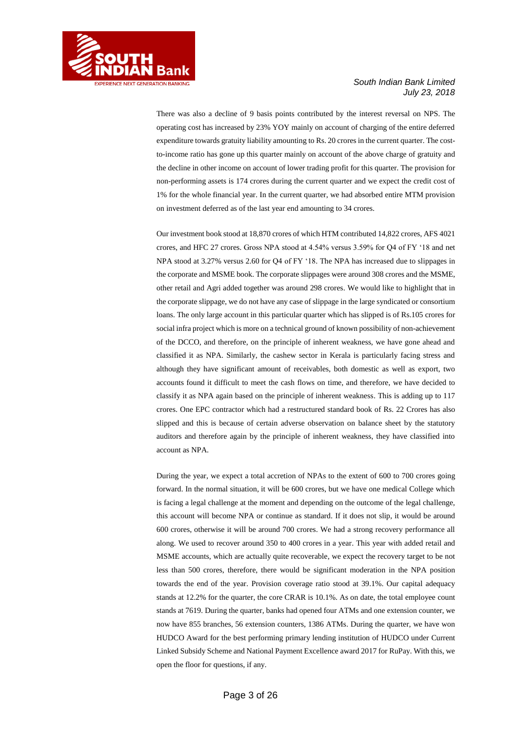

There was also a decline of 9 basis points contributed by the interest reversal on NPS. The operating cost has increased by 23% YOY mainly on account of charging of the entire deferred expenditure towards gratuity liability amounting to Rs. 20 crores in the current quarter. The costto-income ratio has gone up this quarter mainly on account of the above charge of gratuity and the decline in other income on account of lower trading profit for this quarter. The provision for non-performing assets is 174 crores during the current quarter and we expect the credit cost of 1% for the whole financial year. In the current quarter, we had absorbed entire MTM provision on investment deferred as of the last year end amounting to 34 crores.

Our investment book stood at 18,870 crores of which HTM contributed 14,822 crores, AFS 4021 crores, and HFC 27 crores. Gross NPA stood at 4.54% versus 3.59% for Q4 of FY '18 and net NPA stood at 3.27% versus 2.60 for Q4 of FY '18. The NPA has increased due to slippages in the corporate and MSME book. The corporate slippages were around 308 crores and the MSME, other retail and Agri added together was around 298 crores. We would like to highlight that in the corporate slippage, we do not have any case of slippage in the large syndicated or consortium loans. The only large account in this particular quarter which has slipped is of Rs.105 crores for social infra project which is more on a technical ground of known possibility of non-achievement of the DCCO, and therefore, on the principle of inherent weakness, we have gone ahead and classified it as NPA. Similarly, the cashew sector in Kerala is particularly facing stress and although they have significant amount of receivables, both domestic as well as export, two accounts found it difficult to meet the cash flows on time, and therefore, we have decided to classify it as NPA again based on the principle of inherent weakness. This is adding up to 117 crores. One EPC contractor which had a restructured standard book of Rs. 22 Crores has also slipped and this is because of certain adverse observation on balance sheet by the statutory auditors and therefore again by the principle of inherent weakness, they have classified into account as NPA.

During the year, we expect a total accretion of NPAs to the extent of 600 to 700 crores going forward. In the normal situation, it will be 600 crores, but we have one medical College which is facing a legal challenge at the moment and depending on the outcome of the legal challenge, this account will become NPA or continue as standard. If it does not slip, it would be around 600 crores, otherwise it will be around 700 crores. We had a strong recovery performance all along. We used to recover around 350 to 400 crores in a year. This year with added retail and MSME accounts, which are actually quite recoverable, we expect the recovery target to be not less than 500 crores, therefore, there would be significant moderation in the NPA position towards the end of the year. Provision coverage ratio stood at 39.1%. Our capital adequacy stands at 12.2% for the quarter, the core CRAR is 10.1%. As on date, the total employee count stands at 7619. During the quarter, banks had opened four ATMs and one extension counter, we now have 855 branches, 56 extension counters, 1386 ATMs. During the quarter, we have won HUDCO Award for the best performing primary lending institution of HUDCO under Current Linked Subsidy Scheme and National Payment Excellence award 2017 for RuPay. With this, we open the floor for questions, if any.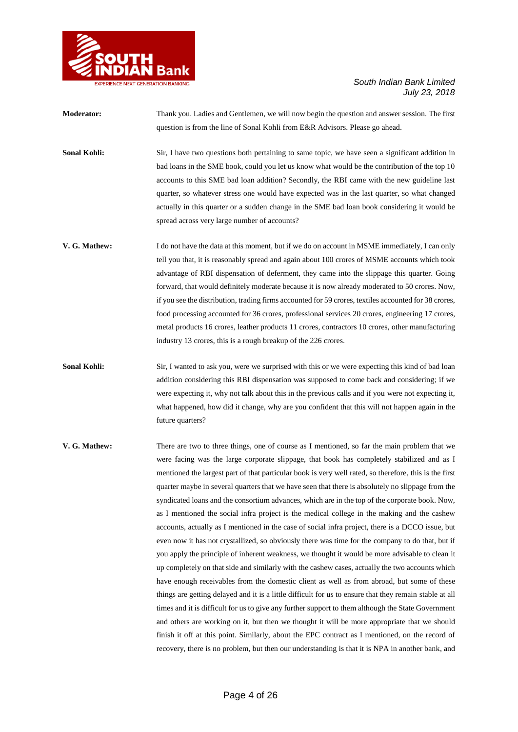

**Moderator:** Thank you. Ladies and Gentlemen, we will now begin the question and answer session. The first question is from the line of Sonal Kohli from E&R Advisors. Please go ahead.

**Sonal Kohli:** Sir, I have two questions both pertaining to same topic, we have seen a significant addition in bad loans in the SME book, could you let us know what would be the contribution of the top 10 accounts to this SME bad loan addition? Secondly, the RBI came with the new guideline last quarter, so whatever stress one would have expected was in the last quarter, so what changed actually in this quarter or a sudden change in the SME bad loan book considering it would be spread across very large number of accounts?

- **V. G. Mathew:** I do not have the data at this moment, but if we do on account in MSME immediately, I can only tell you that, it is reasonably spread and again about 100 crores of MSME accounts which took advantage of RBI dispensation of deferment, they came into the slippage this quarter. Going forward, that would definitely moderate because it is now already moderated to 50 crores. Now, if you see the distribution, trading firms accounted for 59 crores, textiles accounted for 38 crores, food processing accounted for 36 crores, professional services 20 crores, engineering 17 crores, metal products 16 crores, leather products 11 crores, contractors 10 crores, other manufacturing industry 13 crores, this is a rough breakup of the 226 crores.
- **Sonal Kohli:** Sir, I wanted to ask you, were we surprised with this or we were expecting this kind of bad loan addition considering this RBI dispensation was supposed to come back and considering; if we were expecting it, why not talk about this in the previous calls and if you were not expecting it, what happened, how did it change, why are you confident that this will not happen again in the future quarters?
- **V. G. Mathew:** There are two to three things, one of course as I mentioned, so far the main problem that we were facing was the large corporate slippage, that book has completely stabilized and as I mentioned the largest part of that particular book is very well rated, so therefore, this is the first quarter maybe in several quarters that we have seen that there is absolutely no slippage from the syndicated loans and the consortium advances, which are in the top of the corporate book. Now, as I mentioned the social infra project is the medical college in the making and the cashew accounts, actually as I mentioned in the case of social infra project, there is a DCCO issue, but even now it has not crystallized, so obviously there was time for the company to do that, but if you apply the principle of inherent weakness, we thought it would be more advisable to clean it up completely on that side and similarly with the cashew cases, actually the two accounts which have enough receivables from the domestic client as well as from abroad, but some of these things are getting delayed and it is a little difficult for us to ensure that they remain stable at all times and it is difficult for us to give any further support to them although the State Government and others are working on it, but then we thought it will be more appropriate that we should finish it off at this point. Similarly, about the EPC contract as I mentioned, on the record of recovery, there is no problem, but then our understanding is that it is NPA in another bank, and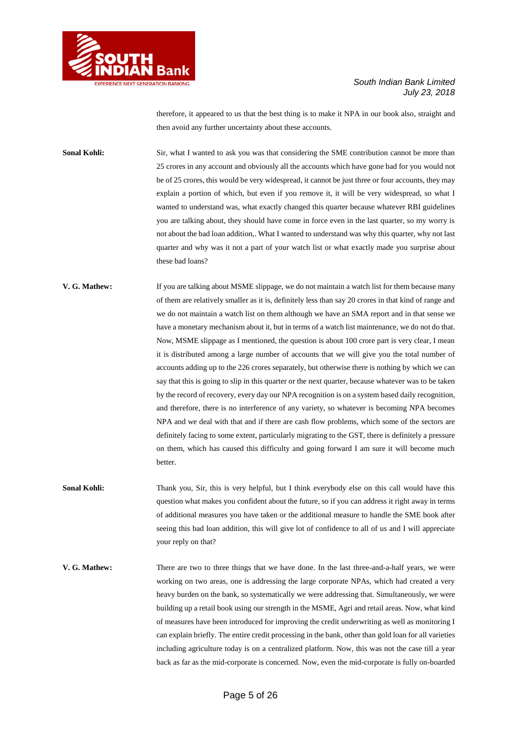

therefore, it appeared to us that the best thing is to make it NPA in our book also, straight and then avoid any further uncertainty about these accounts.

**Sonal Kohli:** Sir, what I wanted to ask you was that considering the SME contribution cannot be more than 25 crores in any account and obviously all the accounts which have gone bad for you would not be of 25 crores, this would be very widespread, it cannot be just three or four accounts, they may explain a portion of which, but even if you remove it, it will be very widespread, so what I wanted to understand was, what exactly changed this quarter because whatever RBI guidelines you are talking about, they should have come in force even in the last quarter, so my worry is not about the bad loan addition,. What I wanted to understand was why this quarter, why not last quarter and why was it not a part of your watch list or what exactly made you surprise about these bad loans?

- **V. G. Mathew:** If you are talking about MSME slippage, we do not maintain a watch list for them because many of them are relatively smaller as it is, definitely less than say 20 crores in that kind of range and we do not maintain a watch list on them although we have an SMA report and in that sense we have a monetary mechanism about it, but in terms of a watch list maintenance, we do not do that. Now, MSME slippage as I mentioned, the question is about 100 crore part is very clear, I mean it is distributed among a large number of accounts that we will give you the total number of accounts adding up to the 226 crores separately, but otherwise there is nothing by which we can say that this is going to slip in this quarter or the next quarter, because whatever was to be taken by the record of recovery, every day our NPA recognition is on a system based daily recognition, and therefore, there is no interference of any variety, so whatever is becoming NPA becomes NPA and we deal with that and if there are cash flow problems, which some of the sectors are definitely facing to some extent, particularly migrating to the GST, there is definitely a pressure on them, which has caused this difficulty and going forward I am sure it will become much better.
- **Sonal Kohli:** Thank you, Sir, this is very helpful, but I think everybody else on this call would have this question what makes you confident about the future, so if you can address it right away in terms of additional measures you have taken or the additional measure to handle the SME book after seeing this bad loan addition, this will give lot of confidence to all of us and I will appreciate your reply on that?
- **V. G. Mathew:** There are two to three things that we have done. In the last three-and-a-half years, we were working on two areas, one is addressing the large corporate NPAs, which had created a very heavy burden on the bank, so systematically we were addressing that. Simultaneously, we were building up a retail book using our strength in the MSME, Agri and retail areas. Now, what kind of measures have been introduced for improving the credit underwriting as well as monitoring I can explain briefly. The entire credit processing in the bank, other than gold loan for all varieties including agriculture today is on a centralized platform. Now, this was not the case till a year back as far as the mid-corporate is concerned. Now, even the mid-corporate is fully on-boarded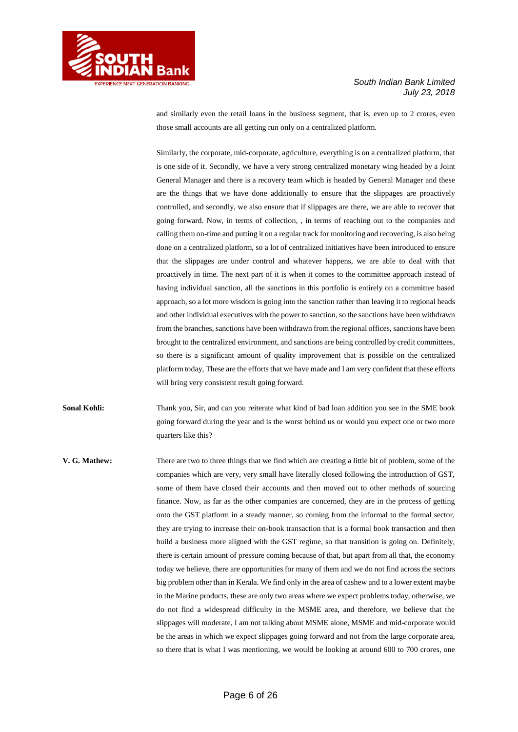

and similarly even the retail loans in the business segment, that is, even up to 2 crores, even those small accounts are all getting run only on a centralized platform.

**RIENCE NEXT GENERATION BANKING** 

Similarly, the corporate, mid-corporate, agriculture, everything is on a centralized platform, that is one side of it. Secondly, we have a very strong centralized monetary wing headed by a Joint General Manager and there is a recovery team which is headed by General Manager and these are the things that we have done additionally to ensure that the slippages are proactively controlled, and secondly, we also ensure that if slippages are there, we are able to recover that going forward. Now, in terms of collection, , in terms of reaching out to the companies and calling them on-time and putting it on a regular track for monitoring and recovering, is also being done on a centralized platform, so a lot of centralized initiatives have been introduced to ensure that the slippages are under control and whatever happens, we are able to deal with that proactively in time. The next part of it is when it comes to the committee approach instead of having individual sanction, all the sanctions in this portfolio is entirely on a committee based approach, so a lot more wisdom is going into the sanction rather than leaving it to regional heads and other individual executives with the power to sanction, so the sanctions have been withdrawn from the branches, sanctions have been withdrawn from the regional offices, sanctions have been brought to the centralized environment, and sanctions are being controlled by credit committees, so there is a significant amount of quality improvement that is possible on the centralized platform today, These are the efforts that we have made and I am very confident that these efforts will bring very consistent result going forward.

**Sonal Kohli:** Thank you, Sir, and can you reiterate what kind of bad loan addition you see in the SME book going forward during the year and is the worst behind us or would you expect one or two more quarters like this?

**V. G. Mathew:** There are two to three things that we find which are creating a little bit of problem, some of the companies which are very, very small have literally closed following the introduction of GST, some of them have closed their accounts and then moved out to other methods of sourcing finance. Now, as far as the other companies are concerned, they are in the process of getting onto the GST platform in a steady manner, so coming from the informal to the formal sector, they are trying to increase their on-book transaction that is a formal book transaction and then build a business more aligned with the GST regime, so that transition is going on. Definitely, there is certain amount of pressure coming because of that, but apart from all that, the economy today we believe, there are opportunities for many of them and we do not find across the sectors big problem other than in Kerala. We find only in the area of cashew and to a lower extent maybe in the Marine products, these are only two areas where we expect problems today, otherwise, we do not find a widespread difficulty in the MSME area, and therefore, we believe that the slippages will moderate, I am not talking about MSME alone, MSME and mid-corporate would be the areas in which we expect slippages going forward and not from the large corporate area, so there that is what I was mentioning, we would be looking at around 600 to 700 crores, one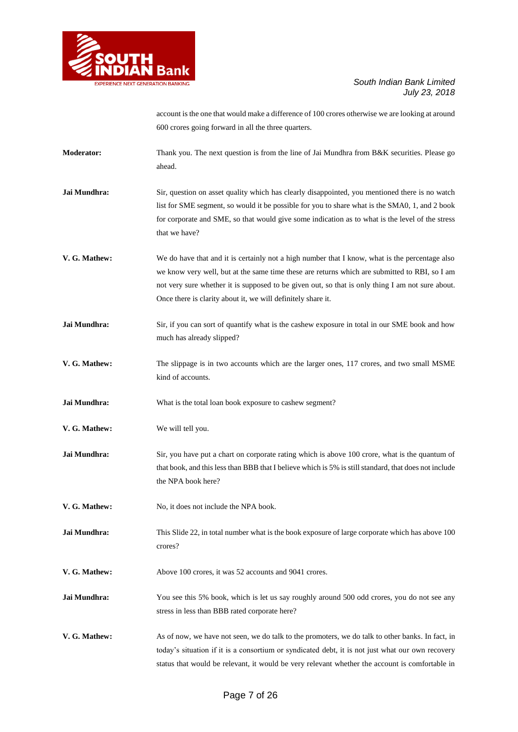

account is the one that would make a difference of 100 crores otherwise we are looking at around 600 crores going forward in all the three quarters.

- **Moderator:** Thank you. The next question is from the line of Jai Mundhra from B&K securities. Please go ahead.
- **Jai Mundhra:** Sir, question on asset quality which has clearly disappointed, you mentioned there is no watch list for SME segment, so would it be possible for you to share what is the SMA0, 1, and 2 book for corporate and SME, so that would give some indication as to what is the level of the stress that we have?
- **V. G. Mathew:** We do have that and it is certainly not a high number that I know, what is the percentage also we know very well, but at the same time these are returns which are submitted to RBI, so I am not very sure whether it is supposed to be given out, so that is only thing I am not sure about. Once there is clarity about it, we will definitely share it.
- **Jai Mundhra:** Sir, if you can sort of quantify what is the cashew exposure in total in our SME book and how much has already slipped?
- **V. G. Mathew:** The slippage is in two accounts which are the larger ones, 117 crores, and two small MSME kind of accounts.
- **Jai Mundhra:** What is the total loan book exposure to cashew segment?
- **V. G. Mathew:** We will tell you.
- **Jai Mundhra:** Sir, you have put a chart on corporate rating which is above 100 crore, what is the quantum of that book, and this less than BBB that I believe which is 5% is still standard, that does not include the NPA book here?
- **V. G. Mathew:** No, it does not include the NPA book.
- **Jai Mundhra:** This Slide 22, in total number what is the book exposure of large corporate which has above 100 crores?
- **V. G. Mathew:** Above 100 crores, it was 52 accounts and 9041 crores.
- **Jai Mundhra:** You see this 5% book, which is let us say roughly around 500 odd crores, you do not see any stress in less than BBB rated corporate here?
- **V. G. Mathew:** As of now, we have not seen, we do talk to the promoters, we do talk to other banks. In fact, in today's situation if it is a consortium or syndicated debt, it is not just what our own recovery status that would be relevant, it would be very relevant whether the account is comfortable in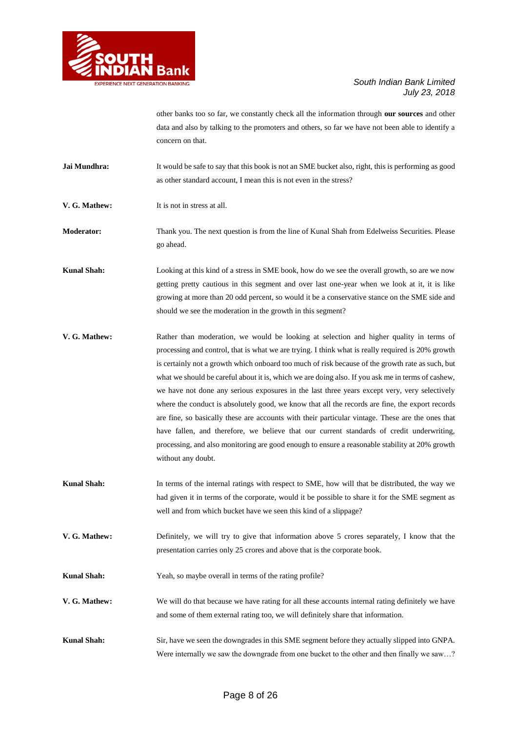

other banks too so far, we constantly check all the information through **our sources** and other data and also by talking to the promoters and others, so far we have not been able to identify a concern on that.

**Jai Mundhra:** It would be safe to say that this book is not an SME bucket also, right, this is performing as good as other standard account, I mean this is not even in the stress?

**V. G. Mathew:** It is not in stress at all.

**Moderator:** Thank you. The next question is from the line of Kunal Shah from Edelweiss Securities. Please go ahead.

**Kunal Shah:** Looking at this kind of a stress in SME book, how do we see the overall growth, so are we now getting pretty cautious in this segment and over last one-year when we look at it, it is like growing at more than 20 odd percent, so would it be a conservative stance on the SME side and should we see the moderation in the growth in this segment?

**V. G. Mathew:** Rather than moderation, we would be looking at selection and higher quality in terms of processing and control, that is what we are trying. I think what is really required is 20% growth is certainly not a growth which onboard too much of risk because of the growth rate as such, but what we should be careful about it is, which we are doing also. If you ask me in terms of cashew, we have not done any serious exposures in the last three years except very, very selectively where the conduct is absolutely good, we know that all the records are fine, the export records are fine, so basically these are accounts with their particular vintage. These are the ones that have fallen, and therefore, we believe that our current standards of credit underwriting, processing, and also monitoring are good enough to ensure a reasonable stability at 20% growth without any doubt.

- **Kunal Shah:** In terms of the internal ratings with respect to SME, how will that be distributed, the way we had given it in terms of the corporate, would it be possible to share it for the SME segment as well and from which bucket have we seen this kind of a slippage?
- **V. G. Mathew:** Definitely, we will try to give that information above 5 crores separately, I know that the presentation carries only 25 crores and above that is the corporate book.

**Kunal Shah:** Yeah, so maybe overall in terms of the rating profile?

- **V. G. Mathew:** We will do that because we have rating for all these accounts internal rating definitely we have and some of them external rating too, we will definitely share that information.
- **Kunal Shah:** Sir, have we seen the downgrades in this SME segment before they actually slipped into GNPA. Were internally we saw the downgrade from one bucket to the other and then finally we saw...?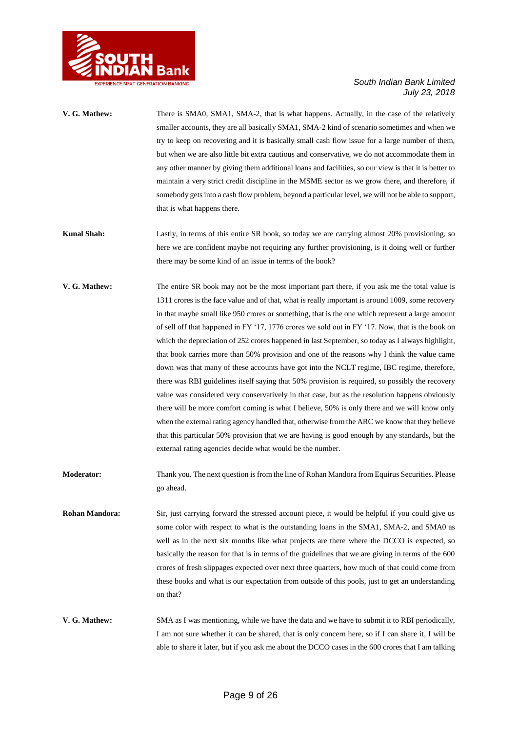

| V. G. Mathew:         | There is SMA0, SMA1, SMA-2, that is what happens. Actually, in the case of the relatively<br>smaller accounts, they are all basically SMA1, SMA-2 kind of scenario sometimes and when we<br>try to keep on recovering and it is basically small cash flow issue for a large number of them,<br>but when we are also little bit extra cautious and conservative, we do not accommodate them in<br>any other manner by giving them additional loans and facilities, so our view is that it is better to<br>maintain a very strict credit discipline in the MSME sector as we grow there, and therefore, if<br>somebody gets into a cash flow problem, beyond a particular level, we will not be able to support,<br>that is what happens there.                                                                                                                                                                                                                                                                                                                                                                                                                                                                                                                                     |
|-----------------------|-----------------------------------------------------------------------------------------------------------------------------------------------------------------------------------------------------------------------------------------------------------------------------------------------------------------------------------------------------------------------------------------------------------------------------------------------------------------------------------------------------------------------------------------------------------------------------------------------------------------------------------------------------------------------------------------------------------------------------------------------------------------------------------------------------------------------------------------------------------------------------------------------------------------------------------------------------------------------------------------------------------------------------------------------------------------------------------------------------------------------------------------------------------------------------------------------------------------------------------------------------------------------------------|
| <b>Kunal Shah:</b>    | Lastly, in terms of this entire SR book, so today we are carrying almost 20% provisioning, so<br>here we are confident maybe not requiring any further provisioning, is it doing well or further<br>there may be some kind of an issue in terms of the book?                                                                                                                                                                                                                                                                                                                                                                                                                                                                                                                                                                                                                                                                                                                                                                                                                                                                                                                                                                                                                      |
| V. G. Mathew:         | The entire SR book may not be the most important part there, if you ask me the total value is<br>1311 crores is the face value and of that, what is really important is around 1009, some recovery<br>in that maybe small like 950 crores or something, that is the one which represent a large amount<br>of sell off that happened in FY '17, 1776 crores we sold out in FY '17. Now, that is the book on<br>which the depreciation of 252 crores happened in last September, so today as I always highlight,<br>that book carries more than 50% provision and one of the reasons why I think the value came<br>down was that many of these accounts have got into the NCLT regime, IBC regime, therefore,<br>there was RBI guidelines itself saying that 50% provision is required, so possibly the recovery<br>value was considered very conservatively in that case, but as the resolution happens obviously<br>there will be more comfort coming is what I believe, 50% is only there and we will know only<br>when the external rating agency handled that, otherwise from the ARC we know that they believe<br>that this particular 50% provision that we are having is good enough by any standards, but the<br>external rating agencies decide what would be the number. |
| <b>Moderator:</b>     | Thank you. The next question is from the line of Rohan Mandora from Equirus Securities. Please<br>go ahead.                                                                                                                                                                                                                                                                                                                                                                                                                                                                                                                                                                                                                                                                                                                                                                                                                                                                                                                                                                                                                                                                                                                                                                       |
| <b>Rohan Mandora:</b> | Sir, just carrying forward the stressed account piece, it would be helpful if you could give us<br>some color with respect to what is the outstanding loans in the SMA1, SMA-2, and SMA0 as                                                                                                                                                                                                                                                                                                                                                                                                                                                                                                                                                                                                                                                                                                                                                                                                                                                                                                                                                                                                                                                                                       |

- some color with respect to what is the outstanding loans in the SMA1, SMA-2, and SMA0 as well as in the next six months like what projects are there where the DCCO is expected, so basically the reason for that is in terms of the guidelines that we are giving in terms of the 600 crores of fresh slippages expected over next three quarters, how much of that could come from these books and what is our expectation from outside of this pools, just to get an understanding on that?
- **V. G. Mathew:** SMA as I was mentioning, while we have the data and we have to submit it to RBI periodically, I am not sure whether it can be shared, that is only concern here, so if I can share it, I will be able to share it later, but if you ask me about the DCCO cases in the 600 crores that I am talking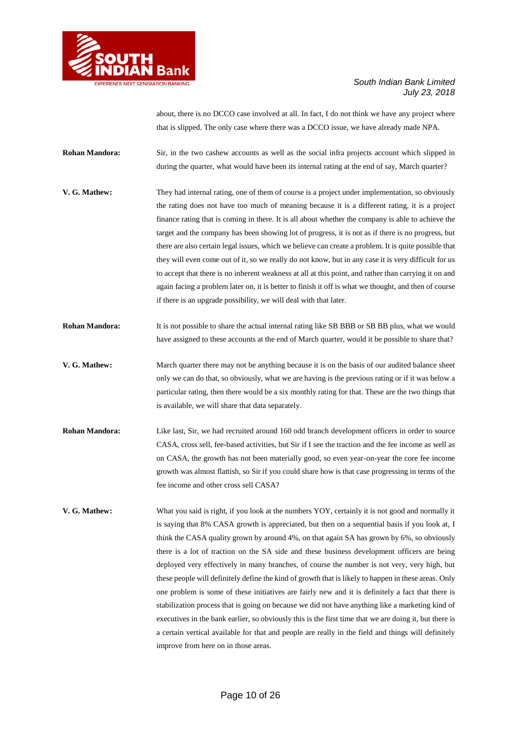

about, there is no DCCO case involved at all. In fact, I do not think we have any project where that is slipped. The only case where there was a DCCO issue, we have already made NPA.

**Rohan Mandora:** Sir, in the two cashew accounts as well as the social infra projects account which slipped in during the quarter, what would have been its internal rating at the end of say, March quarter?

- **V. G. Mathew:** They had internal rating, one of them of course is a project under implementation, so obviously the rating does not have too much of meaning because it is a different rating, it is a project finance rating that is coming in there. It is all about whether the company is able to achieve the target and the company has been showing lot of progress, it is not as if there is no progress, but there are also certain legal issues, which we believe can create a problem. It is quite possible that they will even come out of it, so we really do not know, but in any case it is very difficult for us to accept that there is no inherent weakness at all at this point, and rather than carrying it on and again facing a problem later on, it is better to finish it off is what we thought, and then of course if there is an upgrade possibility, we will deal with that later.
- **Rohan Mandora:** It is not possible to share the actual internal rating like SB BBB or SB BB plus, what we would have assigned to these accounts at the end of March quarter, would it be possible to share that?
- **V. G. Mathew:** March quarter there may not be anything because it is on the basis of our audited balance sheet only we can do that, so obviously, what we are having is the previous rating or if it was below a particular rating, then there would be a six monthly rating for that. These are the two things that is available, we will share that data separately.
- **Rohan Mandora:** Like last, Sir, we had recruited around 160 odd branch development officers in order to source CASA, cross sell, fee-based activities, but Sir if I see the traction and the fee income as well as on CASA, the growth has not been materially good, so even year-on-year the core fee income growth was almost flattish, so Sir if you could share how is that case progressing in terms of the fee income and other cross sell CASA?
- **V. G. Mathew:** What you said is right, if you look at the numbers YOY, certainly it is not good and normally it is saying that 8% CASA growth is appreciated, but then on a sequential basis if you look at, I think the CASA quality grown by around 4%, on that again SA has grown by 6%, so obviously there is a lot of traction on the SA side and these business development officers are being deployed very effectively in many branches, of course the number is not very, very high, but these people will definitely define the kind of growth that is likely to happen in these areas. Only one problem is some of these initiatives are fairly new and it is definitely a fact that there is stabilization process that is going on because we did not have anything like a marketing kind of executives in the bank earlier, so obviously this is the first time that we are doing it, but there is a certain vertical available for that and people are really in the field and things will definitely improve from here on in those areas.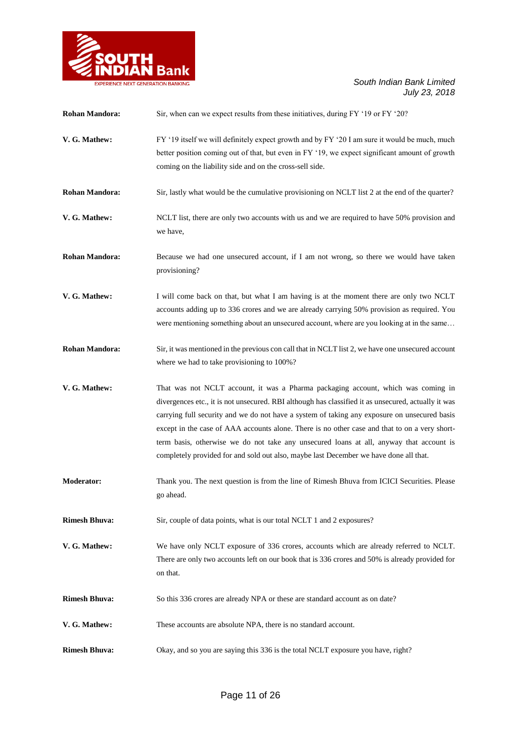

| <b>Rohan Mandora:</b> | Sir, when can we expect results from these initiatives, during FY '19 or FY '20?                                                                                                                                                                                                                                                                                                                                                                                                                                                                                              |
|-----------------------|-------------------------------------------------------------------------------------------------------------------------------------------------------------------------------------------------------------------------------------------------------------------------------------------------------------------------------------------------------------------------------------------------------------------------------------------------------------------------------------------------------------------------------------------------------------------------------|
| V. G. Mathew:         | FY '19 itself we will definitely expect growth and by FY '20 I am sure it would be much, much<br>better position coming out of that, but even in FY '19, we expect significant amount of growth<br>coming on the liability side and on the cross-sell side.                                                                                                                                                                                                                                                                                                                   |
| <b>Rohan Mandora:</b> | Sir, lastly what would be the cumulative provisioning on NCLT list 2 at the end of the quarter?                                                                                                                                                                                                                                                                                                                                                                                                                                                                               |
| V. G. Mathew:         | NCLT list, there are only two accounts with us and we are required to have 50% provision and<br>we have,                                                                                                                                                                                                                                                                                                                                                                                                                                                                      |
| <b>Rohan Mandora:</b> | Because we had one unsecured account, if I am not wrong, so there we would have taken<br>provisioning?                                                                                                                                                                                                                                                                                                                                                                                                                                                                        |
| V. G. Mathew:         | I will come back on that, but what I am having is at the moment there are only two NCLT<br>accounts adding up to 336 crores and we are already carrying 50% provision as required. You<br>were mentioning something about an unsecured account, where are you looking at in the same                                                                                                                                                                                                                                                                                          |
| <b>Rohan Mandora:</b> | Sir, it was mentioned in the previous con call that in NCLT list 2, we have one unsecured account<br>where we had to take provisioning to 100%?                                                                                                                                                                                                                                                                                                                                                                                                                               |
| V. G. Mathew:         | That was not NCLT account, it was a Pharma packaging account, which was coming in<br>divergences etc., it is not unsecured. RBI although has classified it as unsecured, actually it was<br>carrying full security and we do not have a system of taking any exposure on unsecured basis<br>except in the case of AAA accounts alone. There is no other case and that to on a very short-<br>term basis, otherwise we do not take any unsecured loans at all, anyway that account is<br>completely provided for and sold out also, maybe last December we have done all that. |
| <b>Moderator:</b>     | Thank you. The next question is from the line of Rimesh Bhuva from ICICI Securities. Please<br>go ahead.                                                                                                                                                                                                                                                                                                                                                                                                                                                                      |
| <b>Rimesh Bhuva:</b>  | Sir, couple of data points, what is our total NCLT 1 and 2 exposures?                                                                                                                                                                                                                                                                                                                                                                                                                                                                                                         |
| V. G. Mathew:         | We have only NCLT exposure of 336 crores, accounts which are already referred to NCLT.<br>There are only two accounts left on our book that is 336 crores and 50% is already provided for<br>on that.                                                                                                                                                                                                                                                                                                                                                                         |
| <b>Rimesh Bhuva:</b>  | So this 336 crores are already NPA or these are standard account as on date?                                                                                                                                                                                                                                                                                                                                                                                                                                                                                                  |
| V. G. Mathew:         | These accounts are absolute NPA, there is no standard account.                                                                                                                                                                                                                                                                                                                                                                                                                                                                                                                |
| <b>Rimesh Bhuva:</b>  | Okay, and so you are saying this 336 is the total NCLT exposure you have, right?                                                                                                                                                                                                                                                                                                                                                                                                                                                                                              |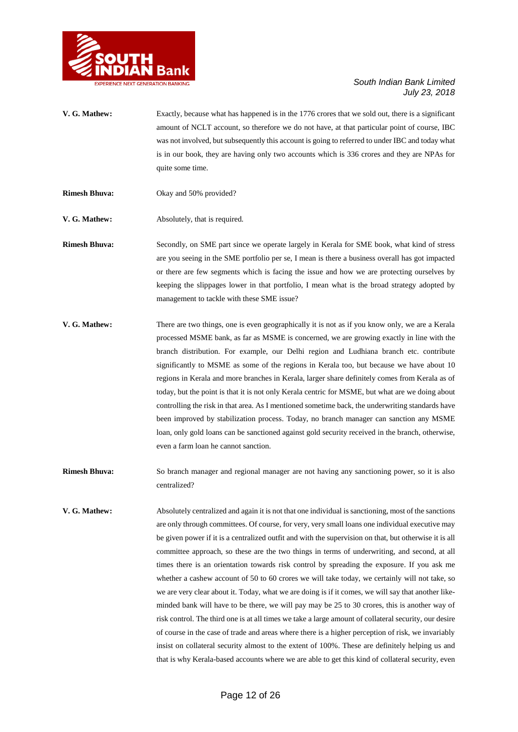

- **V. G. Mathew:** Exactly, because what has happened is in the 1776 crores that we sold out, there is a significant amount of NCLT account, so therefore we do not have, at that particular point of course, IBC was not involved, but subsequently this account is going to referred to under IBC and today what is in our book, they are having only two accounts which is 336 crores and they are NPAs for quite some time.
- **Rimesh Bhuva:** Okay and 50% provided?
- **V. G. Mathew:** Absolutely, that is required.

**Rimesh Bhuva:** Secondly, on SME part since we operate largely in Kerala for SME book, what kind of stress are you seeing in the SME portfolio per se, I mean is there a business overall has got impacted or there are few segments which is facing the issue and how we are protecting ourselves by keeping the slippages lower in that portfolio, I mean what is the broad strategy adopted by management to tackle with these SME issue?

- **V. G. Mathew:** There are two things, one is even geographically it is not as if you know only, we are a Kerala processed MSME bank, as far as MSME is concerned, we are growing exactly in line with the branch distribution. For example, our Delhi region and Ludhiana branch etc. contribute significantly to MSME as some of the regions in Kerala too, but because we have about 10 regions in Kerala and more branches in Kerala, larger share definitely comes from Kerala as of today, but the point is that it is not only Kerala centric for MSME, but what are we doing about controlling the risk in that area. As I mentioned sometime back, the underwriting standards have been improved by stabilization process. Today, no branch manager can sanction any MSME loan, only gold loans can be sanctioned against gold security received in the branch, otherwise, even a farm loan he cannot sanction.
- **Rimesh Bhuva:** So branch manager and regional manager are not having any sanctioning power, so it is also centralized?
- **V. G. Mathew:** Absolutely centralized and again it is not that one individual is sanctioning, most of the sanctions are only through committees. Of course, for very, very small loans one individual executive may be given power if it is a centralized outfit and with the supervision on that, but otherwise it is all committee approach, so these are the two things in terms of underwriting, and second, at all times there is an orientation towards risk control by spreading the exposure. If you ask me whether a cashew account of 50 to 60 crores we will take today, we certainly will not take, so we are very clear about it. Today, what we are doing is if it comes, we will say that another likeminded bank will have to be there, we will pay may be 25 to 30 crores, this is another way of risk control. The third one is at all times we take a large amount of collateral security, our desire of course in the case of trade and areas where there is a higher perception of risk, we invariably insist on collateral security almost to the extent of 100%. These are definitely helping us and that is why Kerala-based accounts where we are able to get this kind of collateral security, even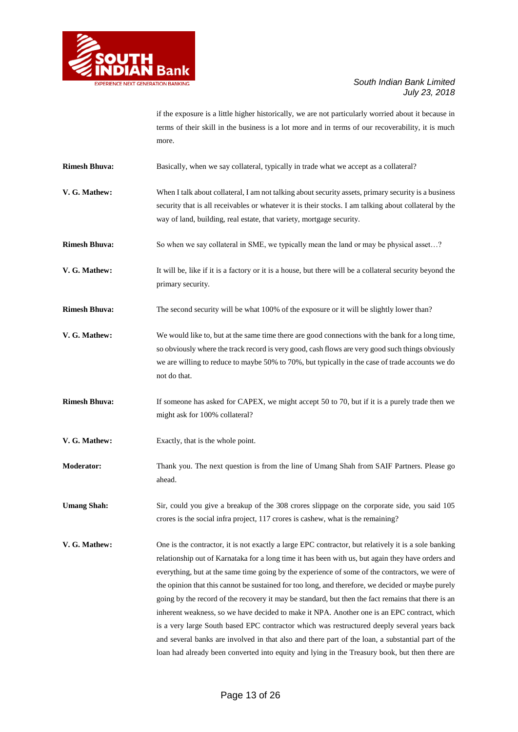

if the exposure is a little higher historically, we are not particularly worried about it because in terms of their skill in the business is a lot more and in terms of our recoverability, it is much more.

**Rimesh Bhuva:** Basically, when we say collateral, typically in trade what we accept as a collateral?

- **V. G. Mathew:** When I talk about collateral, I am not talking about security assets, primary security is a business security that is all receivables or whatever it is their stocks. I am talking about collateral by the way of land, building, real estate, that variety, mortgage security.
- **Rimesh Bhuva:** So when we say collateral in SME, we typically mean the land or may be physical asset...?
- **V. G. Mathew:** It will be, like if it is a factory or it is a house, but there will be a collateral security beyond the primary security.
- **Rimesh Bhuva:** The second security will be what 100% of the exposure or it will be slightly lower than?
- **V. G. Mathew:** We would like to, but at the same time there are good connections with the bank for a long time, so obviously where the track record is very good, cash flows are very good such things obviously we are willing to reduce to maybe 50% to 70%, but typically in the case of trade accounts we do not do that.
- **Rimesh Bhuva:** If someone has asked for CAPEX, we might accept 50 to 70, but if it is a purely trade then we might ask for 100% collateral?
- **V. G. Mathew:** Exactly, that is the whole point.
- **Moderator:** Thank you. The next question is from the line of Umang Shah from SAIF Partners. Please go ahead.

Umang Shah: Sir, could you give a breakup of the 308 crores slippage on the corporate side, you said 105 crores is the social infra project, 117 crores is cashew, what is the remaining?

**V. G. Mathew:** One is the contractor, it is not exactly a large EPC contractor, but relatively it is a sole banking relationship out of Karnataka for a long time it has been with us, but again they have orders and everything, but at the same time going by the experience of some of the contractors, we were of the opinion that this cannot be sustained for too long, and therefore, we decided or maybe purely going by the record of the recovery it may be standard, but then the fact remains that there is an inherent weakness, so we have decided to make it NPA. Another one is an EPC contract, which is a very large South based EPC contractor which was restructured deeply several years back and several banks are involved in that also and there part of the loan, a substantial part of the loan had already been converted into equity and lying in the Treasury book, but then there are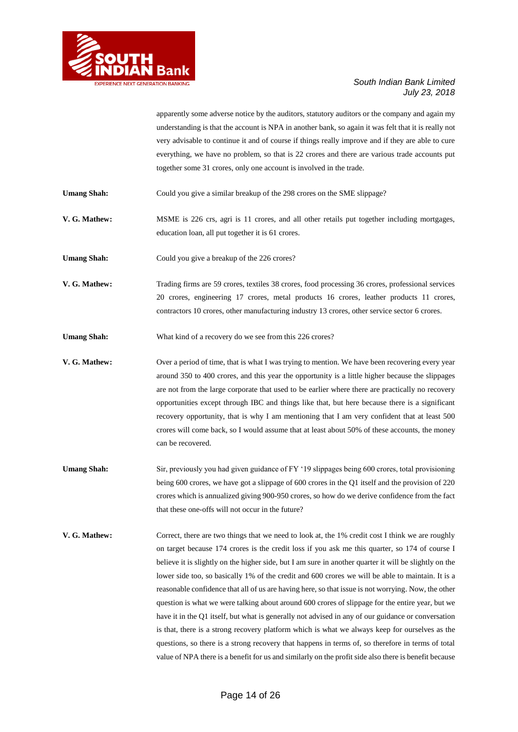

apparently some adverse notice by the auditors, statutory auditors or the company and again my understanding is that the account is NPA in another bank, so again it was felt that it is really not very advisable to continue it and of course if things really improve and if they are able to cure everything, we have no problem, so that is 22 crores and there are various trade accounts put together some 31 crores, only one account is involved in the trade.

Umang Shah: Could you give a similar breakup of the 298 crores on the SME slippage?

**V. G. Mathew:** MSME is 226 crs, agri is 11 crores, and all other retails put together including mortgages, education loan, all put together it is 61 crores.

**Umang Shah:** Could you give a breakup of the 226 crores?

**V. G. Mathew:** Trading firms are 59 crores, textiles 38 crores, food processing 36 crores, professional services 20 crores, engineering 17 crores, metal products 16 crores, leather products 11 crores, contractors 10 crores, other manufacturing industry 13 crores, other service sector 6 crores.

Umang Shah: What kind of a recovery do we see from this 226 crores?

**V. G. Mathew:** Over a period of time, that is what I was trying to mention. We have been recovering every year around 350 to 400 crores, and this year the opportunity is a little higher because the slippages are not from the large corporate that used to be earlier where there are practically no recovery opportunities except through IBC and things like that, but here because there is a significant recovery opportunity, that is why I am mentioning that I am very confident that at least 500 crores will come back, so I would assume that at least about 50% of these accounts, the money can be recovered.

Umang Shah: Sir, previously you had given guidance of FY '19 slippages being 600 crores, total provisioning being 600 crores, we have got a slippage of 600 crores in the Q1 itself and the provision of 220 crores which is annualized giving 900-950 crores, so how do we derive confidence from the fact that these one-offs will not occur in the future?

**V. G. Mathew:** Correct, there are two things that we need to look at, the 1% credit cost I think we are roughly on target because 174 crores is the credit loss if you ask me this quarter, so 174 of course I believe it is slightly on the higher side, but I am sure in another quarter it will be slightly on the lower side too, so basically 1% of the credit and 600 crores we will be able to maintain. It is a reasonable confidence that all of us are having here, so that issue is not worrying. Now, the other question is what we were talking about around 600 crores of slippage for the entire year, but we have it in the Q1 itself, but what is generally not advised in any of our guidance or conversation is that, there is a strong recovery platform which is what we always keep for ourselves as the questions, so there is a strong recovery that happens in terms of, so therefore in terms of total value of NPA there is a benefit for us and similarly on the profit side also there is benefit because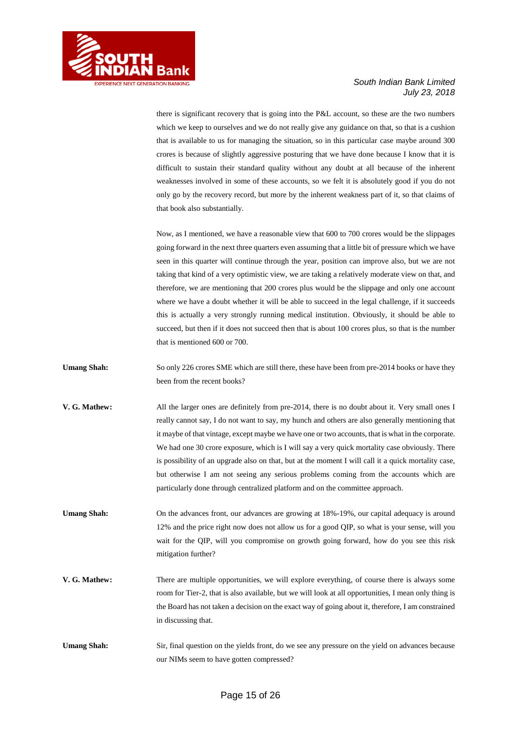

there is significant recovery that is going into the P&L account, so these are the two numbers which we keep to ourselves and we do not really give any guidance on that, so that is a cushion that is available to us for managing the situation, so in this particular case maybe around 300 crores is because of slightly aggressive posturing that we have done because I know that it is difficult to sustain their standard quality without any doubt at all because of the inherent weaknesses involved in some of these accounts, so we felt it is absolutely good if you do not only go by the recovery record, but more by the inherent weakness part of it, so that claims of that book also substantially.

Now, as I mentioned, we have a reasonable view that 600 to 700 crores would be the slippages going forward in the next three quarters even assuming that a little bit of pressure which we have seen in this quarter will continue through the year, position can improve also, but we are not taking that kind of a very optimistic view, we are taking a relatively moderate view on that, and therefore, we are mentioning that 200 crores plus would be the slippage and only one account where we have a doubt whether it will be able to succeed in the legal challenge, if it succeeds this is actually a very strongly running medical institution. Obviously, it should be able to succeed, but then if it does not succeed then that is about 100 crores plus, so that is the number that is mentioned 600 or 700.

- Umang Shah: So only 226 crores SME which are still there, these have been from pre-2014 books or have they been from the recent books?
- **V. G. Mathew:** All the larger ones are definitely from pre-2014, there is no doubt about it. Very small ones I really cannot say, I do not want to say, my hunch and others are also generally mentioning that it maybe of that vintage, except maybe we have one or two accounts, that is what in the corporate. We had one 30 crore exposure, which is I will say a very quick mortality case obviously. There is possibility of an upgrade also on that, but at the moment I will call it a quick mortality case, but otherwise I am not seeing any serious problems coming from the accounts which are particularly done through centralized platform and on the committee approach.
- Umang Shah: On the advances front, our advances are growing at 18%-19%, our capital adequacy is around 12% and the price right now does not allow us for a good QIP, so what is your sense, will you wait for the QIP, will you compromise on growth going forward, how do you see this risk mitigation further?
- **V. G. Mathew:** There are multiple opportunities, we will explore everything, of course there is always some room for Tier-2, that is also available, but we will look at all opportunities, I mean only thing is the Board has not taken a decision on the exact way of going about it, therefore, I am constrained in discussing that.
- **Umang Shah:** Sir, final question on the yields front, do we see any pressure on the yield on advances because our NIMs seem to have gotten compressed?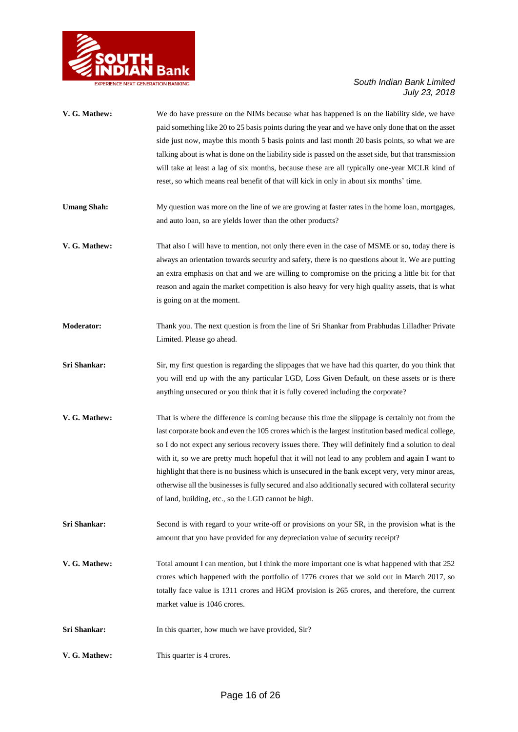

| V. G. Mathew:      | We do have pressure on the NIMs because what has happened is on the liability side, we have<br>paid something like 20 to 25 basis points during the year and we have only done that on the asset<br>side just now, maybe this month 5 basis points and last month 20 basis points, so what we are<br>talking about is what is done on the liability side is passed on the asset side, but that transmission<br>will take at least a lag of six months, because these are all typically one-year MCLR kind of<br>reset, so which means real benefit of that will kick in only in about six months' time.                                                                             |
|--------------------|-------------------------------------------------------------------------------------------------------------------------------------------------------------------------------------------------------------------------------------------------------------------------------------------------------------------------------------------------------------------------------------------------------------------------------------------------------------------------------------------------------------------------------------------------------------------------------------------------------------------------------------------------------------------------------------|
| <b>Umang Shah:</b> | My question was more on the line of we are growing at faster rates in the home loan, mortgages,<br>and auto loan, so are yields lower than the other products?                                                                                                                                                                                                                                                                                                                                                                                                                                                                                                                      |
| V. G. Mathew:      | That also I will have to mention, not only there even in the case of MSME or so, today there is<br>always an orientation towards security and safety, there is no questions about it. We are putting<br>an extra emphasis on that and we are willing to compromise on the pricing a little bit for that<br>reason and again the market competition is also heavy for very high quality assets, that is what<br>is going on at the moment.                                                                                                                                                                                                                                           |
| <b>Moderator:</b>  | Thank you. The next question is from the line of Sri Shankar from Prabhudas Lilladher Private<br>Limited. Please go ahead.                                                                                                                                                                                                                                                                                                                                                                                                                                                                                                                                                          |
| Sri Shankar:       | Sir, my first question is regarding the slippages that we have had this quarter, do you think that<br>you will end up with the any particular LGD, Loss Given Default, on these assets or is there<br>anything unsecured or you think that it is fully covered including the corporate?                                                                                                                                                                                                                                                                                                                                                                                             |
| V. G. Mathew:      | That is where the difference is coming because this time the slippage is certainly not from the<br>last corporate book and even the 105 crores which is the largest institution based medical college,<br>so I do not expect any serious recovery issues there. They will definitely find a solution to deal<br>with it, so we are pretty much hopeful that it will not lead to any problem and again I want to<br>highlight that there is no business which is unsecured in the bank except very, very minor areas,<br>otherwise all the businesses is fully secured and also additionally secured with collateral security<br>of land, building, etc., so the LGD cannot be high. |
| Sri Shankar:       | Second is with regard to your write-off or provisions on your SR, in the provision what is the<br>amount that you have provided for any depreciation value of security receipt?                                                                                                                                                                                                                                                                                                                                                                                                                                                                                                     |
| V. G. Mathew:      | Total amount I can mention, but I think the more important one is what happened with that 252<br>crores which happened with the portfolio of 1776 crores that we sold out in March 2017, so<br>totally face value is 1311 crores and HGM provision is 265 crores, and therefore, the current<br>market value is 1046 crores.                                                                                                                                                                                                                                                                                                                                                        |
| Sri Shankar:       | In this quarter, how much we have provided, Sir?                                                                                                                                                                                                                                                                                                                                                                                                                                                                                                                                                                                                                                    |
| V. G. Mathew:      | This quarter is 4 crores.                                                                                                                                                                                                                                                                                                                                                                                                                                                                                                                                                                                                                                                           |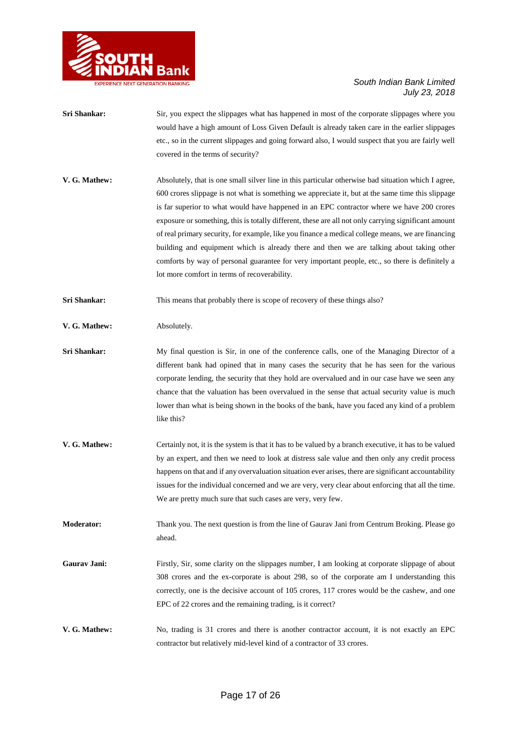

- **Sri Shankar:** Sir, you expect the slippages what has happened in most of the corporate slippages where you would have a high amount of Loss Given Default is already taken care in the earlier slippages etc., so in the current slippages and going forward also, I would suspect that you are fairly well covered in the terms of security?
- **V. G. Mathew:** Absolutely, that is one small silver line in this particular otherwise bad situation which I agree, 600 crores slippage is not what is something we appreciate it, but at the same time this slippage is far superior to what would have happened in an EPC contractor where we have 200 crores exposure or something, this is totally different, these are all not only carrying significant amount of real primary security, for example, like you finance a medical college means, we are financing building and equipment which is already there and then we are talking about taking other comforts by way of personal guarantee for very important people, etc., so there is definitely a lot more comfort in terms of recoverability.

**Sri Shankar:** This means that probably there is scope of recovery of these things also?

#### **V. G. Mathew:** Absolutely.

- **Sri Shankar:** My final question is Sir, in one of the conference calls, one of the Managing Director of a different bank had opined that in many cases the security that he has seen for the various corporate lending, the security that they hold are overvalued and in our case have we seen any chance that the valuation has been overvalued in the sense that actual security value is much lower than what is being shown in the books of the bank, have you faced any kind of a problem like this?
- **V. G. Mathew:** Certainly not, it is the system is that it has to be valued by a branch executive, it has to be valued by an expert, and then we need to look at distress sale value and then only any credit process happens on that and if any overvaluation situation ever arises, there are significant accountability issues for the individual concerned and we are very, very clear about enforcing that all the time. We are pretty much sure that such cases are very, very few.
- **Moderator:** Thank you. The next question is from the line of Gaurav Jani from Centrum Broking. Please go ahead.
- Gaurav Jani: Firstly, Sir, some clarity on the slippages number, I am looking at corporate slippage of about 308 crores and the ex-corporate is about 298, so of the corporate am I understanding this correctly, one is the decisive account of 105 crores, 117 crores would be the cashew, and one EPC of 22 crores and the remaining trading, is it correct?
- **V. G. Mathew:** No, trading is 31 crores and there is another contractor account, it is not exactly an EPC contractor but relatively mid-level kind of a contractor of 33 crores.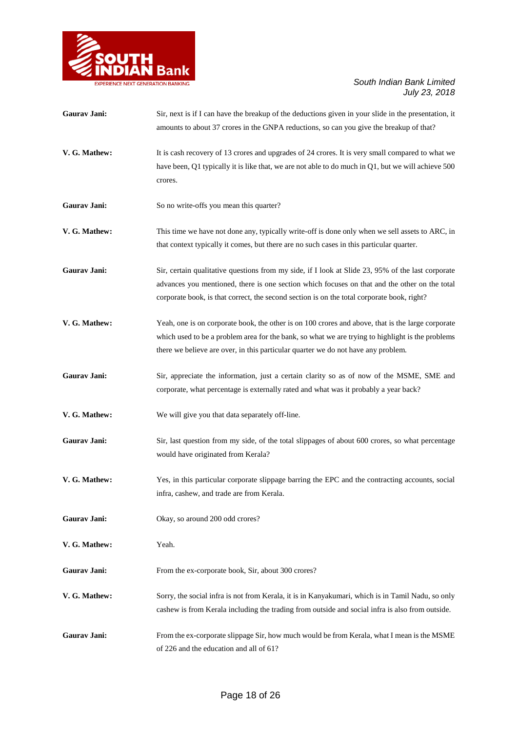

| Gaurav Jani:        | Sir, next is if I can have the breakup of the deductions given in your slide in the presentation, it<br>amounts to about 37 crores in the GNPA reductions, so can you give the breakup of that?                                                                                                  |
|---------------------|--------------------------------------------------------------------------------------------------------------------------------------------------------------------------------------------------------------------------------------------------------------------------------------------------|
| V. G. Mathew:       | It is cash recovery of 13 crores and upgrades of 24 crores. It is very small compared to what we<br>have been, Q1 typically it is like that, we are not able to do much in $Q1$ , but we will achieve 500<br>crores.                                                                             |
| Gaurav Jani:        | So no write-offs you mean this quarter?                                                                                                                                                                                                                                                          |
| V. G. Mathew:       | This time we have not done any, typically write-off is done only when we sell assets to ARC, in<br>that context typically it comes, but there are no such cases in this particular quarter.                                                                                                      |
| <b>Gaurav Jani:</b> | Sir, certain qualitative questions from my side, if I look at Slide 23, 95% of the last corporate<br>advances you mentioned, there is one section which focuses on that and the other on the total<br>corporate book, is that correct, the second section is on the total corporate book, right? |
| V. G. Mathew:       | Yeah, one is on corporate book, the other is on 100 crores and above, that is the large corporate<br>which used to be a problem area for the bank, so what we are trying to highlight is the problems<br>there we believe are over, in this particular quarter we do not have any problem.       |
| Gaurav Jani:        | Sir, appreciate the information, just a certain clarity so as of now of the MSME, SME and<br>corporate, what percentage is externally rated and what was it probably a year back?                                                                                                                |
| V. G. Mathew:       | We will give you that data separately off-line.                                                                                                                                                                                                                                                  |
| Gaurav Jani:        | Sir, last question from my side, of the total slippages of about 600 crores, so what percentage<br>would have originated from Kerala?                                                                                                                                                            |
| V. G. Mathew:       | Yes, in this particular corporate slippage barring the EPC and the contracting accounts, social<br>infra, cashew, and trade are from Kerala.                                                                                                                                                     |
| Gaurav Jani:        | Okay, so around 200 odd crores?                                                                                                                                                                                                                                                                  |
| V. G. Mathew:       | Yeah.                                                                                                                                                                                                                                                                                            |
| Gaurav Jani:        | From the ex-corporate book, Sir, about 300 crores?                                                                                                                                                                                                                                               |
| V. G. Mathew:       | Sorry, the social infra is not from Kerala, it is in Kanyakumari, which is in Tamil Nadu, so only<br>cashew is from Kerala including the trading from outside and social infra is also from outside.                                                                                             |
| Gaurav Jani:        | From the ex-corporate slippage Sir, how much would be from Kerala, what I mean is the MSME<br>of 226 and the education and all of 61?                                                                                                                                                            |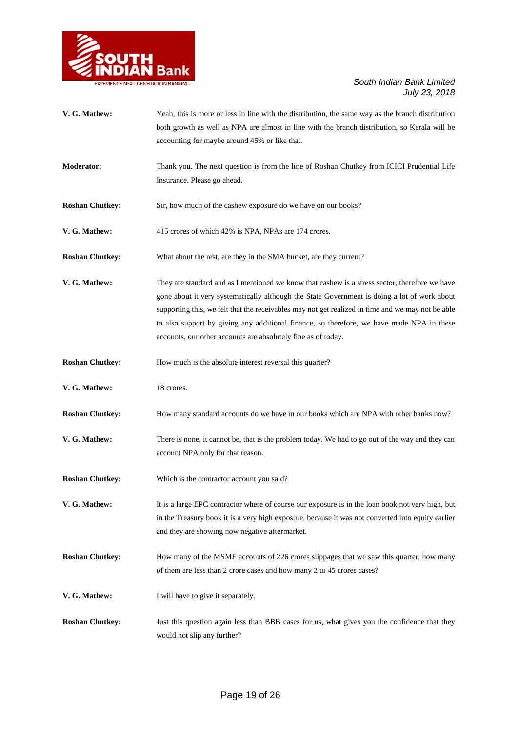

| V. G. Mathew:          | Yeah, this is more or less in line with the distribution, the same way as the branch distribution<br>both growth as well as NPA are almost in line with the branch distribution, so Kerala will be<br>accounting for maybe around 45% or like that.                                                                                                                                                                                                               |
|------------------------|-------------------------------------------------------------------------------------------------------------------------------------------------------------------------------------------------------------------------------------------------------------------------------------------------------------------------------------------------------------------------------------------------------------------------------------------------------------------|
|                        |                                                                                                                                                                                                                                                                                                                                                                                                                                                                   |
| <b>Moderator:</b>      | Thank you. The next question is from the line of Roshan Chutkey from ICICI Prudential Life<br>Insurance. Please go ahead.                                                                                                                                                                                                                                                                                                                                         |
| <b>Roshan Chutkey:</b> | Sir, how much of the cashew exposure do we have on our books?                                                                                                                                                                                                                                                                                                                                                                                                     |
| V. G. Mathew:          | 415 crores of which 42% is NPA, NPAs are 174 crores.                                                                                                                                                                                                                                                                                                                                                                                                              |
| <b>Roshan Chutkey:</b> | What about the rest, are they in the SMA bucket, are they current?                                                                                                                                                                                                                                                                                                                                                                                                |
| V. G. Mathew:          | They are standard and as I mentioned we know that cashew is a stress sector, therefore we have<br>gone about it very systematically although the State Government is doing a lot of work about<br>supporting this, we felt that the receivables may not get realized in time and we may not be able<br>to also support by giving any additional finance, so therefore, we have made NPA in these<br>accounts, our other accounts are absolutely fine as of today. |
| <b>Roshan Chutkey:</b> | How much is the absolute interest reversal this quarter?                                                                                                                                                                                                                                                                                                                                                                                                          |
| V. G. Mathew:          | 18 crores.                                                                                                                                                                                                                                                                                                                                                                                                                                                        |
| <b>Roshan Chutkey:</b> | How many standard accounts do we have in our books which are NPA with other banks now?                                                                                                                                                                                                                                                                                                                                                                            |
| V. G. Mathew:          | There is none, it cannot be, that is the problem today. We had to go out of the way and they can<br>account NPA only for that reason.                                                                                                                                                                                                                                                                                                                             |
| <b>Roshan Chutkey:</b> | Which is the contractor account you said?                                                                                                                                                                                                                                                                                                                                                                                                                         |
| V. G. Mathew:          | It is a large EPC contractor where of course our exposure is in the loan book not very high, but<br>in the Treasury book it is a very high exposure, because it was not converted into equity earlier<br>and they are showing now negative aftermarket.                                                                                                                                                                                                           |
| <b>Roshan Chutkey:</b> | How many of the MSME accounts of 226 crores slippages that we saw this quarter, how many<br>of them are less than 2 crore cases and how many 2 to 45 crores cases?                                                                                                                                                                                                                                                                                                |
| V. G. Mathew:          | I will have to give it separately.                                                                                                                                                                                                                                                                                                                                                                                                                                |
| <b>Roshan Chutkey:</b> | Just this question again less than BBB cases for us, what gives you the confidence that they<br>would not slip any further?                                                                                                                                                                                                                                                                                                                                       |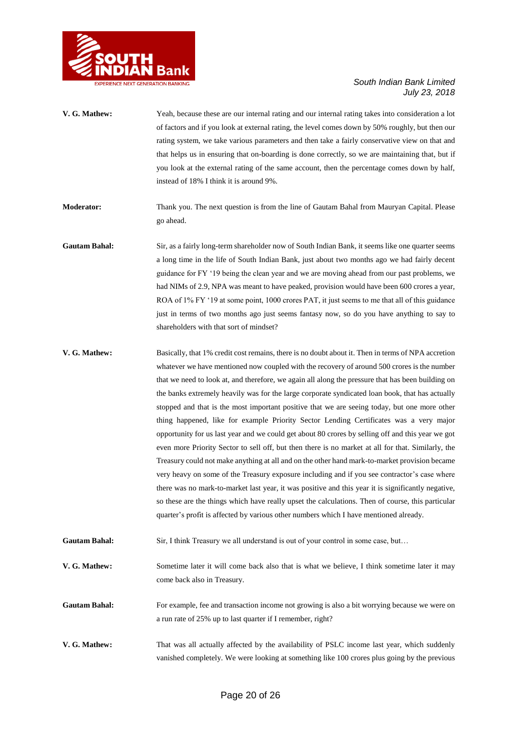

| V. G. Mathew:        | Yeah, because these are our internal rating and our internal rating takes into consideration a lot<br>of factors and if you look at external rating, the level comes down by 50% roughly, but then our<br>rating system, we take various parameters and then take a fairly conservative view on that and<br>that helps us in ensuring that on-boarding is done correctly, so we are maintaining that, but if<br>you look at the external rating of the same account, then the percentage comes down by half,<br>instead of 18% I think it is around 9%.                                                                                                                                                                                                                                                                                                                                                                                                                                                                                                                                                             |
|----------------------|---------------------------------------------------------------------------------------------------------------------------------------------------------------------------------------------------------------------------------------------------------------------------------------------------------------------------------------------------------------------------------------------------------------------------------------------------------------------------------------------------------------------------------------------------------------------------------------------------------------------------------------------------------------------------------------------------------------------------------------------------------------------------------------------------------------------------------------------------------------------------------------------------------------------------------------------------------------------------------------------------------------------------------------------------------------------------------------------------------------------|
| <b>Moderator:</b>    | Thank you. The next question is from the line of Gautam Bahal from Mauryan Capital. Please<br>go ahead.                                                                                                                                                                                                                                                                                                                                                                                                                                                                                                                                                                                                                                                                                                                                                                                                                                                                                                                                                                                                             |
| <b>Gautam Bahal:</b> | Sir, as a fairly long-term shareholder now of South Indian Bank, it seems like one quarter seems<br>a long time in the life of South Indian Bank, just about two months ago we had fairly decent<br>guidance for FY '19 being the clean year and we are moving ahead from our past problems, we<br>had NIMs of 2.9, NPA was meant to have peaked, provision would have been 600 crores a year,<br>ROA of 1% FY '19 at some point, 1000 crores PAT, it just seems to me that all of this guidance<br>just in terms of two months ago just seems fantasy now, so do you have anything to say to<br>shareholders with that sort of mindset?                                                                                                                                                                                                                                                                                                                                                                                                                                                                            |
| V. G. Mathew:        | Basically, that 1% credit cost remains, there is no doubt about it. Then in terms of NPA accretion<br>whatever we have mentioned now coupled with the recovery of around 500 crores is the number<br>that we need to look at, and therefore, we again all along the pressure that has been building on<br>the banks extremely heavily was for the large corporate syndicated loan book, that has actually<br>stopped and that is the most important positive that we are seeing today, but one more other<br>thing happened, like for example Priority Sector Lending Certificates was a very major<br>opportunity for us last year and we could get about 80 crores by selling off and this year we got<br>even more Priority Sector to sell off, but then there is no market at all for that. Similarly, the<br>Treasury could not make anything at all and on the other hand mark-to-market provision became<br>very heavy on some of the Treasury exposure including and if you see contractor's case where<br>there was no mark-to-market last vear it was positive and this vear it is significantly negative |

there was no mark-to-market last year, it was positive and this year it is significantly negative, so these are the things which have really upset the calculations. Then of course, this particular quarter's profit is affected by various other numbers which I have mentioned already.

Gautam Bahal: Sir, I think Treasury we all understand is out of your control in some case, but...

**V. G. Mathew:** Sometime later it will come back also that is what we believe, I think sometime later it may come back also in Treasury.

Gautam Bahal: For example, fee and transaction income not growing is also a bit worrying because we were on a run rate of 25% up to last quarter if I remember, right?

**V. G. Mathew:** That was all actually affected by the availability of PSLC income last year, which suddenly vanished completely. We were looking at something like 100 crores plus going by the previous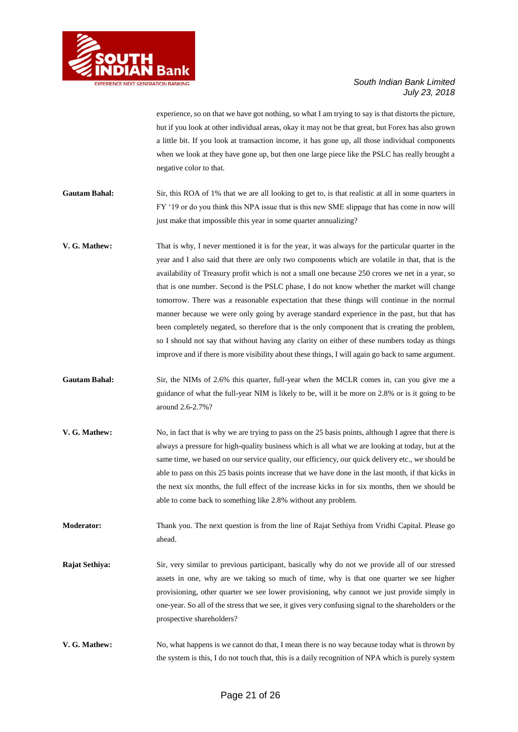

experience, so on that we have got nothing, so what I am trying to say is that distorts the picture, but if you look at other individual areas, okay it may not be that great, but Forex has also grown a little bit. If you look at transaction income, it has gone up, all those individual components when we look at they have gone up, but then one large piece like the PSLC has really brought a negative color to that.

- Gautam Bahal: Sir, this ROA of 1% that we are all looking to get to, is that realistic at all in some quarters in FY '19 or do you think this NPA issue that is this new SME slippage that has come in now will just make that impossible this year in some quarter annualizing?
- **V. G. Mathew:** That is why, I never mentioned it is for the year, it was always for the particular quarter in the year and I also said that there are only two components which are volatile in that, that is the availability of Treasury profit which is not a small one because 250 crores we net in a year, so that is one number. Second is the PSLC phase, I do not know whether the market will change tomorrow. There was a reasonable expectation that these things will continue in the normal manner because we were only going by average standard experience in the past, but that has been completely negated, so therefore that is the only component that is creating the problem, so I should not say that without having any clarity on either of these numbers today as things improve and if there is more visibility about these things, I will again go back to same argument.
- **Gautam Bahal:** Sir, the NIMs of 2.6% this quarter, full-year when the MCLR comes in, can you give me a guidance of what the full-year NIM is likely to be, will it be more on 2.8% or is it going to be around 2.6-2.7%?
- **V. G. Mathew:** No, in fact that is why we are trying to pass on the 25 basis points, although I agree that there is always a pressure for high-quality business which is all what we are looking at today, but at the same time, we based on our service quality, our efficiency, our quick delivery etc., we should be able to pass on this 25 basis points increase that we have done in the last month, if that kicks in the next six months, the full effect of the increase kicks in for six months, then we should be able to come back to something like 2.8% without any problem.
- **Moderator:** Thank you. The next question is from the line of Rajat Sethiya from Vridhi Capital. Please go ahead.
- **Rajat Sethiya:** Sir, very similar to previous participant, basically why do not we provide all of our stressed assets in one, why are we taking so much of time, why is that one quarter we see higher provisioning, other quarter we see lower provisioning, why cannot we just provide simply in one-year. So all of the stress that we see, it gives very confusing signal to the shareholders or the prospective shareholders?
- **V. G. Mathew:** No, what happens is we cannot do that, I mean there is no way because today what is thrown by the system is this, I do not touch that, this is a daily recognition of NPA which is purely system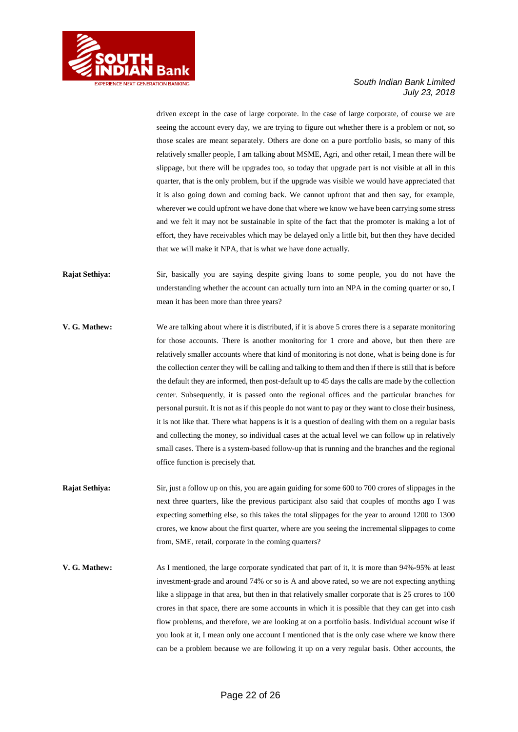

driven except in the case of large corporate. In the case of large corporate, of course we are seeing the account every day, we are trying to figure out whether there is a problem or not, so those scales are meant separately. Others are done on a pure portfolio basis, so many of this relatively smaller people, I am talking about MSME, Agri, and other retail, I mean there will be slippage, but there will be upgrades too, so today that upgrade part is not visible at all in this quarter, that is the only problem, but if the upgrade was visible we would have appreciated that it is also going down and coming back. We cannot upfront that and then say, for example, wherever we could upfront we have done that where we know we have been carrying some stress and we felt it may not be sustainable in spite of the fact that the promoter is making a lot of effort, they have receivables which may be delayed only a little bit, but then they have decided that we will make it NPA, that is what we have done actually.

- **Rajat Sethiya:** Sir, basically you are saying despite giving loans to some people, you do not have the understanding whether the account can actually turn into an NPA in the coming quarter or so, I mean it has been more than three years?
- **V. G. Mathew:** We are talking about where it is distributed, if it is above 5 crores there is a separate monitoring for those accounts. There is another monitoring for 1 crore and above, but then there are relatively smaller accounts where that kind of monitoring is not done, what is being done is for the collection center they will be calling and talking to them and then if there is still that is before the default they are informed, then post-default up to 45 days the calls are made by the collection center. Subsequently, it is passed onto the regional offices and the particular branches for personal pursuit. It is not as if this people do not want to pay or they want to close their business, it is not like that. There what happens is it is a question of dealing with them on a regular basis and collecting the money, so individual cases at the actual level we can follow up in relatively small cases. There is a system-based follow-up that is running and the branches and the regional office function is precisely that.
- **Rajat Sethiya:** Sir, just a follow up on this, you are again guiding for some 600 to 700 crores of slippages in the next three quarters, like the previous participant also said that couples of months ago I was expecting something else, so this takes the total slippages for the year to around 1200 to 1300 crores, we know about the first quarter, where are you seeing the incremental slippages to come from, SME, retail, corporate in the coming quarters?
- **V. G. Mathew:** As I mentioned, the large corporate syndicated that part of it, it is more than 94%-95% at least investment-grade and around 74% or so is A and above rated, so we are not expecting anything like a slippage in that area, but then in that relatively smaller corporate that is 25 crores to 100 crores in that space, there are some accounts in which it is possible that they can get into cash flow problems, and therefore, we are looking at on a portfolio basis. Individual account wise if you look at it, I mean only one account I mentioned that is the only case where we know there can be a problem because we are following it up on a very regular basis. Other accounts, the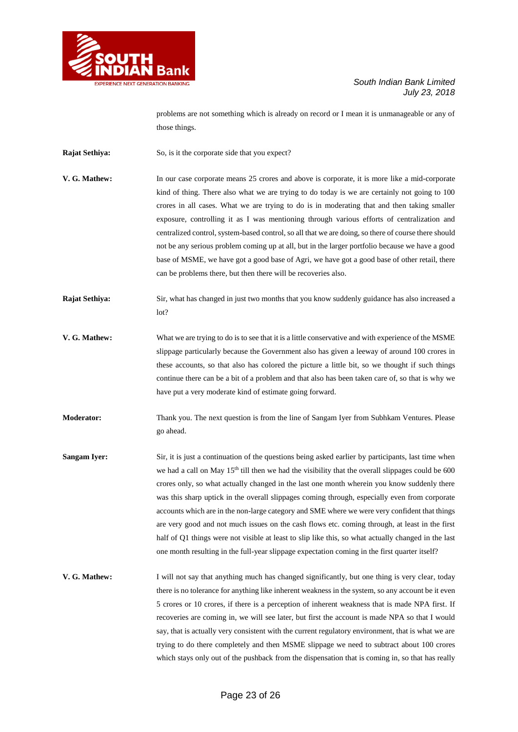

problems are not something which is already on record or I mean it is unmanageable or any of those things.

**Rajat Sethiya:** So, is it the corporate side that you expect?

- **V. G. Mathew:** In our case corporate means 25 crores and above is corporate, it is more like a mid-corporate kind of thing. There also what we are trying to do today is we are certainly not going to 100 crores in all cases. What we are trying to do is in moderating that and then taking smaller exposure, controlling it as I was mentioning through various efforts of centralization and centralized control, system-based control, so all that we are doing, so there of course there should not be any serious problem coming up at all, but in the larger portfolio because we have a good base of MSME, we have got a good base of Agri, we have got a good base of other retail, there can be problems there, but then there will be recoveries also.
- **Rajat Sethiya:** Sir, what has changed in just two months that you know suddenly guidance has also increased a lot?
- **V. G. Mathew:** What we are trying to do is to see that it is a little conservative and with experience of the MSME slippage particularly because the Government also has given a leeway of around 100 crores in these accounts, so that also has colored the picture a little bit, so we thought if such things continue there can be a bit of a problem and that also has been taken care of, so that is why we have put a very moderate kind of estimate going forward.
- **Moderator:** Thank you. The next question is from the line of Sangam Iyer from Subhkam Ventures. Please go ahead.
- **Sangam Iyer:** Sir, it is just a continuation of the questions being asked earlier by participants, last time when we had a call on May 15<sup>th</sup> till then we had the visibility that the overall slippages could be 600 crores only, so what actually changed in the last one month wherein you know suddenly there was this sharp uptick in the overall slippages coming through, especially even from corporate accounts which are in the non-large category and SME where we were very confident that things are very good and not much issues on the cash flows etc. coming through, at least in the first half of Q1 things were not visible at least to slip like this, so what actually changed in the last one month resulting in the full-year slippage expectation coming in the first quarter itself?
- **V. G. Mathew:** I will not say that anything much has changed significantly, but one thing is very clear, today there is no tolerance for anything like inherent weakness in the system, so any account be it even 5 crores or 10 crores, if there is a perception of inherent weakness that is made NPA first. If recoveries are coming in, we will see later, but first the account is made NPA so that I would say, that is actually very consistent with the current regulatory environment, that is what we are trying to do there completely and then MSME slippage we need to subtract about 100 crores which stays only out of the pushback from the dispensation that is coming in, so that has really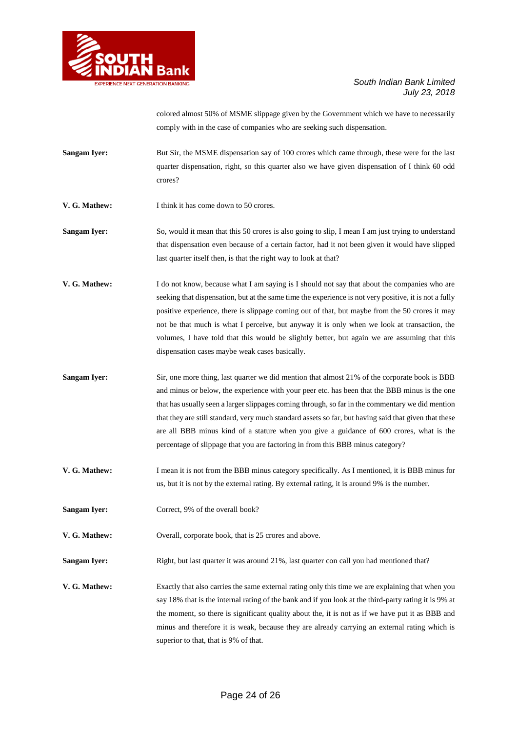

colored almost 50% of MSME slippage given by the Government which we have to necessarily comply with in the case of companies who are seeking such dispensation.

- **Sangam Iyer:** But Sir, the MSME dispensation say of 100 crores which came through, these were for the last quarter dispensation, right, so this quarter also we have given dispensation of I think 60 odd crores?
- **V. G. Mathew:** I think it has come down to 50 crores.

**Sangam Iyer:** So, would it mean that this 50 crores is also going to slip, I mean I am just trying to understand that dispensation even because of a certain factor, had it not been given it would have slipped last quarter itself then, is that the right way to look at that?

- **V. G. Mathew:** I do not know, because what I am saying is I should not say that about the companies who are seeking that dispensation, but at the same time the experience is not very positive, it is not a fully positive experience, there is slippage coming out of that, but maybe from the 50 crores it may not be that much is what I perceive, but anyway it is only when we look at transaction, the volumes, I have told that this would be slightly better, but again we are assuming that this dispensation cases maybe weak cases basically.
- **Sangam Iyer:** Sir, one more thing, last quarter we did mention that almost 21% of the corporate book is BBB and minus or below, the experience with your peer etc. has been that the BBB minus is the one that has usually seen a larger slippages coming through, so far in the commentary we did mention that they are still standard, very much standard assets so far, but having said that given that these are all BBB minus kind of a stature when you give a guidance of 600 crores, what is the percentage of slippage that you are factoring in from this BBB minus category?
- **V. G. Mathew:** I mean it is not from the BBB minus category specifically. As I mentioned, it is BBB minus for us, but it is not by the external rating. By external rating, it is around 9% is the number.
- **Sangam Iyer:** Correct, 9% of the overall book?

**V. G. Mathew:** Overall, corporate book, that is 25 crores and above.

- **Sangam Iyer:** Right, but last quarter it was around 21%, last quarter con call you had mentioned that?
- **V. G. Mathew:** Exactly that also carries the same external rating only this time we are explaining that when you say 18% that is the internal rating of the bank and if you look at the third-party rating it is 9% at the moment, so there is significant quality about the, it is not as if we have put it as BBB and minus and therefore it is weak, because they are already carrying an external rating which is superior to that, that is 9% of that.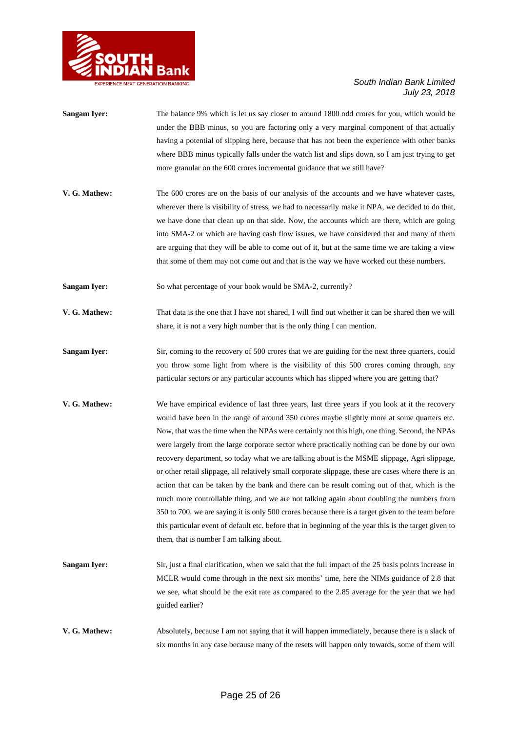

| <b>Sangam Iyer:</b> | The balance 9% which is let us say closer to around 1800 odd crores for you, which would be                                                                                                      |
|---------------------|--------------------------------------------------------------------------------------------------------------------------------------------------------------------------------------------------|
|                     | under the BBB minus, so you are factoring only a very marginal component of that actually                                                                                                        |
|                     | having a potential of slipping here, because that has not been the experience with other banks                                                                                                   |
|                     | where BBB minus typically falls under the watch list and slips down, so I am just trying to get                                                                                                  |
|                     | more granular on the 600 crores incremental guidance that we still have?                                                                                                                         |
| V. G. Mathew:       | The 600 crores are on the basis of our analysis of the accounts and we have whatever cases,<br>wherever there is visibility of stress, we had to necessarily make it NPA, we decided to do that, |

we have done that clean up on that side. Now, the accounts which are there, which are going into SMA-2 or which are having cash flow issues, we have considered that and many of them are arguing that they will be able to come out of it, but at the same time we are taking a view that some of them may not come out and that is the way we have worked out these numbers.

**Sangam Iyer:** So what percentage of your book would be SMA-2, currently?

- **V. G. Mathew:** That data is the one that I have not shared, I will find out whether it can be shared then we will share, it is not a very high number that is the only thing I can mention.
- **Sangam Iyer:** Sir, coming to the recovery of 500 crores that we are guiding for the next three quarters, could you throw some light from where is the visibility of this 500 crores coming through, any particular sectors or any particular accounts which has slipped where you are getting that?
- **V. G. Mathew:** We have empirical evidence of last three years, last three years if you look at it the recovery would have been in the range of around 350 crores maybe slightly more at some quarters etc. Now, that was the time when the NPAs were certainly not this high, one thing. Second, the NPAs were largely from the large corporate sector where practically nothing can be done by our own recovery department, so today what we are talking about is the MSME slippage, Agri slippage, or other retail slippage, all relatively small corporate slippage, these are cases where there is an action that can be taken by the bank and there can be result coming out of that, which is the much more controllable thing, and we are not talking again about doubling the numbers from 350 to 700, we are saying it is only 500 crores because there is a target given to the team before this particular event of default etc. before that in beginning of the year this is the target given to them, that is number I am talking about.
- **Sangam Iyer:** Sir, just a final clarification, when we said that the full impact of the 25 basis points increase in MCLR would come through in the next six months' time, here the NIMs guidance of 2.8 that we see, what should be the exit rate as compared to the 2.85 average for the year that we had guided earlier?
- **V. G. Mathew:** Absolutely, because I am not saying that it will happen immediately, because there is a slack of six months in any case because many of the resets will happen only towards, some of them will